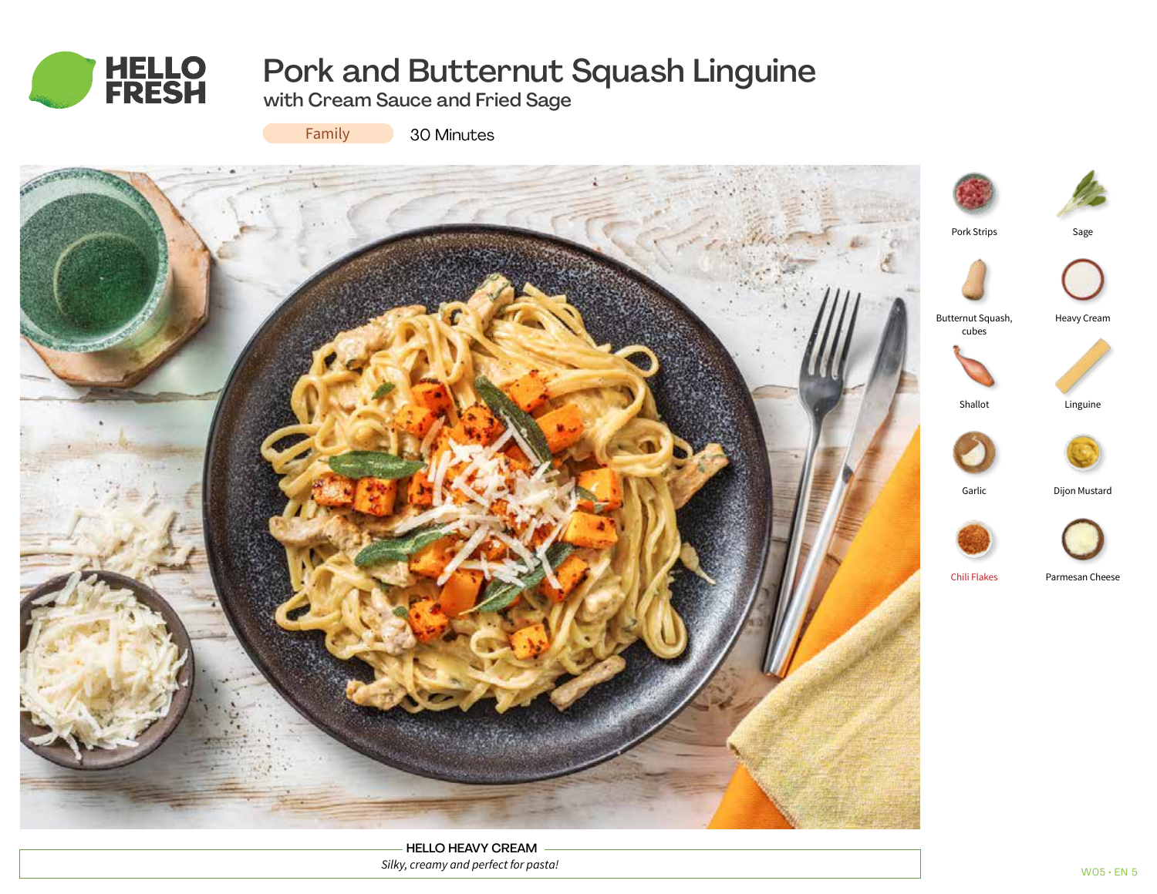

# Pork and Butternut Squash Linguine

with Cream Sauce and Fried Sage



30 Minutes



HELLO HEAVY CREAM *Silky, creamy and perfect for pasta!*